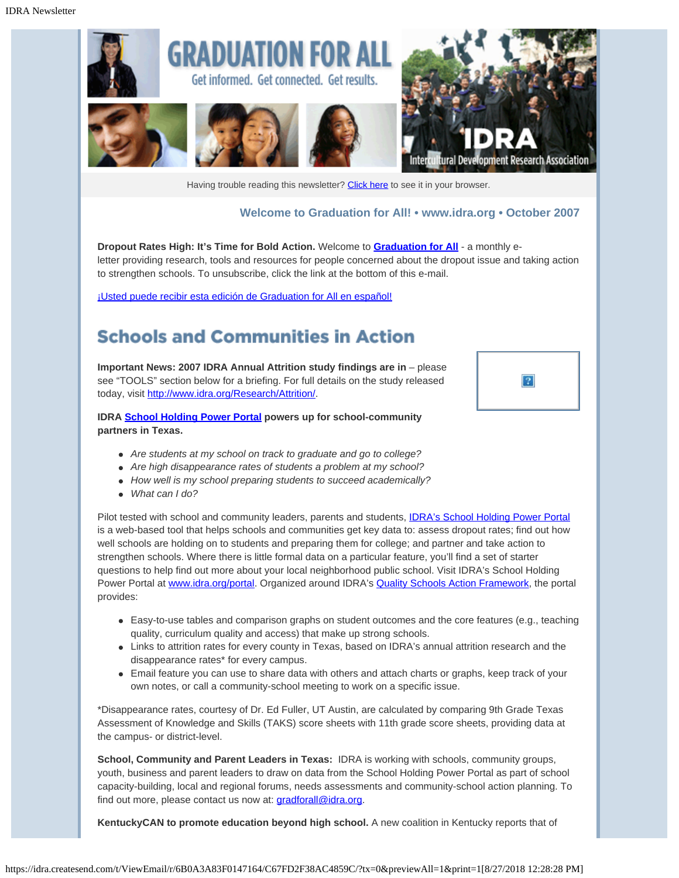

Having trouble reading this newsletter? [Click here](http://idra.createsend.com/t/1/e/hjikj/l/) to see it in your browser.

### **Welcome to Graduation for All! • [www.idra.org](http://idra.createsend.com/t/1/l/hjikj/l/www.idra.org) • October 2007**

**Dropout Rates High: It's Time for Bold Action.** Welcome to **[Graduation for All](http://idra.createsend1.com/t/1/l/hjikj/l/www.idra.org/School_Holding_Power/Graduation_for_All_e-Letter/)** - a monthly eletter providing research, tools and resources for people concerned about the dropout issue and taking action to strengthen schools. To unsubscribe, click the link at the bottom of this e-mail.

[¡Usted puede recibir esta edición de Graduation for All en español!](http://idra.createsend1.com/t/1/l/hjikj/l/idra.createsend.com/viewEmail.aspx?cID=67E0E99DF046F075&sID=59F6F44BDEEB2530&dID=5CB9CB5A1CE688CE)

# **Schools and Communities in Action**

**Important News: 2007 IDRA Annual Attrition study findings are in** – please see "TOOLS" section below for a briefing. For full details on the study released today, visit [http://www.idra.org/Research/Attrition/.](http://idra.createsend1.com/t/1/l/hjikj/l/www.idra.org/Research/Attrition/)

**IDRA [School Holding Power Portal](http://idra.createsend1.com/t/1/l/hjikj/l/www.idra.org/portal) powers up for school-community partners in Texas.**

- *Are students at my school on track to graduate and go to college?*
- *Are high disappearance rates of students a problem at my school?*
- *How well is my school preparing students to succeed academically?*
- *What can I do?*

Pilot tested with school and community leaders, parents and students, **IDRA's School Holding Power Portal** is a web-based tool that helps schools and communities get key data to: assess dropout rates; find out how well schools are holding on to students and preparing them for college; and partner and take action to strengthen schools. Where there is little formal data on a particular feature, you'll find a set of starter questions to help find out more about your local neighborhood public school. Visit IDRA's School Holding Power Portal at [www.idra.org/portal](http://idra.createsend1.com/t/1/l/hjikj/l/www.idra.org/portal). Organized around IDRA's [Quality Schools Action Framework](http://idra.createsend1.com/t/1/l/hjikj/l/idra.createsend.com/t/1/l/ttgh/l/www.idra.org/School_Holding_Power/Quality_Schools_Action_Framework), the portal provides:

- Easy-to-use tables and comparison graphs on student outcomes and the core features (e.g., teaching quality, curriculum quality and access) that make up strong schools.
- Links to attrition rates for every county in Texas, based on IDRA's annual attrition research and the disappearance rates\* for every campus.
- Email feature you can use to share data with others and attach charts or graphs, keep track of your own notes, or call a community-school meeting to work on a specific issue.

\*Disappearance rates, courtesy of Dr. Ed Fuller, UT Austin, are calculated by comparing 9th Grade Texas Assessment of Knowledge and Skills (TAKS) score sheets with 11th grade score sheets, providing data at the campus- or district-level.

**School, Community and Parent Leaders in Texas:** IDRA is working with schools, community groups, youth, business and parent leaders to draw on data from the School Holding Power Portal as part of school capacity-building, local and regional forums, needs assessments and community-school action planning. To find out more, please contact us now at: *gradforall@idra.org*.

**KentuckyCAN to promote education beyond high school.** A new coalition in Kentucky reports that of

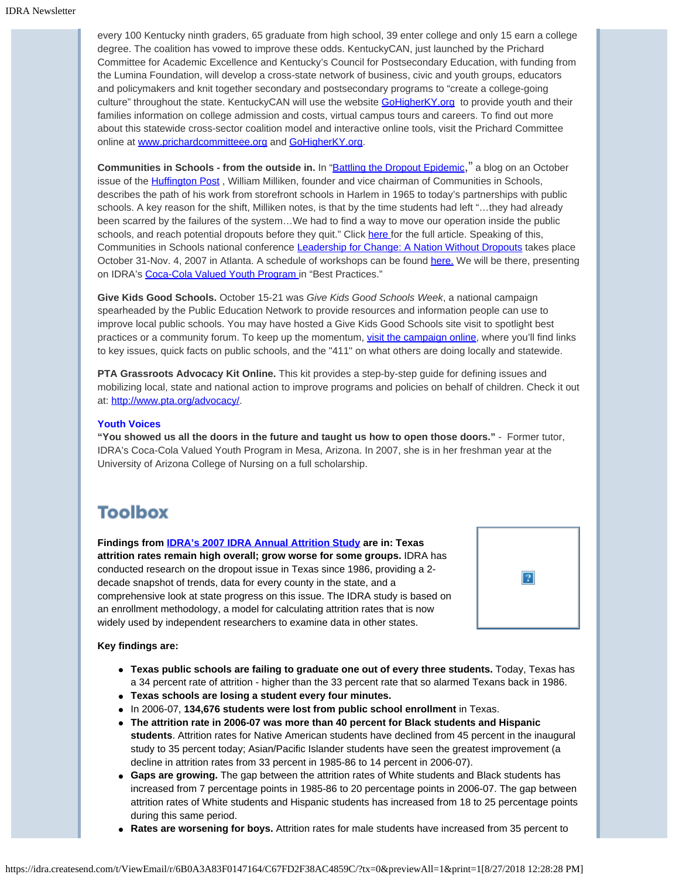every 100 Kentucky ninth graders, 65 graduate from high school, 39 enter college and only 15 earn a college degree. The coalition has vowed to improve these odds. KentuckyCAN, just launched by the Prichard Committee for Academic Excellence and Kentucky's Council for Postsecondary Education, with funding from the Lumina Foundation, will develop a cross-state network of business, civic and youth groups, educators and policymakers and knit together secondary and postsecondary programs to "create a college-going culture" throughout the state. KentuckyCAN will use the website [GoHigherKY.org](http://idra.createsend1.com/t/1/l/hjikj/l/www.GoHigherKY.org) to provide youth and their families information on college admission and costs, virtual campus tours and careers. To find out more about this statewide cross-sector coalition model and interactive online tools, visit the Prichard Committee online at [www.prichardcommitteee.org](http://idra.createsend1.com/t/1/l/hjikj/l/www.prichardcommittee.org/) and [GoHigherKY.org](http://idra.createsend1.com/t/1/l/hjikj/l/GoHigherKY.org).

**Communities in Schools - from the outside in.** In ["Battling the Dropout Epidemic](http://idra.createsend1.com/t/1/l/hjikj/l/www.huffingtonpost.com/william-milliken/battling-the-dropout-epid_b_68532.html)," a blog on an October issue of the **Huffington Post**, William Milliken, founder and vice chairman of Communities in Schools, describes the path of his work from storefront schools in Harlem in 1965 to today's partnerships with public schools. A key reason for the shift, Milliken notes, is that by the time students had left "…they had already been scarred by the failures of the system…We had to find a way to move our operation inside the public schools, and reach potential dropouts before they quit." Click [here](http://idra.createsend1.com/t/1/l/hjikj/l/www.huffingtonpost.com/william-milliken/battling-the-dropout-epid_b_68532.html) for the full article. Speaking of this, Communities in Schools national conference [Leadership for Change: A Nation Without Dropouts](http://idra.createsend1.com/t/1/l/hjikj/l/www.cisnationalconference.com) takes place October 31-Nov. 4, 2007 in Atlanta. A schedule of workshops can be found [here.](http://idra.createsend1.com/t/1/l/hjikj/l/www.cisnationalconference.com/2.3.Sessions.php%23Best) We will be there, presenting on IDRA's [Coca-Cola Valued Youth Program](http://idra.createsend1.com/t/1/l/hjikj/l/www.idra.org/Coca-Cola_Valued_Youth_Program.htm) in "Best Practices."

**Give Kids Good Schools.** October 15-21 was *Give Kids Good Schools Week*, a national campaign spearheaded by the Public Education Network to provide resources and information people can use to improve local public schools. You may have hosted a Give Kids Good Schools site visit to spotlight best practices or a community forum. To keep up the momentum, [visit the campaign online](http://idra.createsend1.com/t/1/l/hjikj/l/www.givekidsgoodschools.org/main/act.cfm?Category=What_Others&Section=Main), where you'll find links to key issues, quick facts on public schools, and the "411" on what others are doing locally and statewide.

**PTA Grassroots Advocacy Kit Online.** This kit provides a step-by-step guide for defining issues and mobilizing local, state and national action to improve programs and policies on behalf of children. Check it out at: [http://www.pta.org/advocacy/](http://idra.createsend1.com/t/1/l/hjikj/l/www.pta.org/advocacy/).

#### **Youth Voices**

**"You showed us all the doors in the future and taught us how to open those doors."** - Former tutor, IDRA's Coca-Cola Valued Youth Program in Mesa, Arizona. In 2007, she is in her freshman year at the University of Arizona College of Nursing on a full scholarship.

## **Toolbox**

**Findings from [IDRA's 2007 IDRA Annual Attrition Study](http://idra.createsend1.com/t/1/l/hjikj/l/www.idra.org/Research/Attrition/) are in: Texas attrition rates remain high overall; grow worse for some groups.** IDRA has conducted research on the dropout issue in Texas since 1986, providing a 2 decade snapshot of trends, data for every county in the state, and a comprehensive look at state progress on this issue. The IDRA study is based on an enrollment methodology, a model for calculating attrition rates that is now widely used by independent researchers to examine data in other states.



#### **Key findings are:**

- **Texas public schools are failing to graduate one out of every three students.** Today, Texas has a 34 percent rate of attrition - higher than the 33 percent rate that so alarmed Texans back in 1986.
- **Texas schools are losing a student every four minutes.**
- In 2006-07, **134,676 students were lost from public school enrollment** in Texas.
- **The attrition rate in 2006-07 was more than 40 percent for Black students and Hispanic students**. Attrition rates for Native American students have declined from 45 percent in the inaugural study to 35 percent today; Asian/Pacific Islander students have seen the greatest improvement (a decline in attrition rates from 33 percent in 1985-86 to 14 percent in 2006-07).
- **Gaps are growing.** The gap between the attrition rates of White students and Black students has increased from 7 percentage points in 1985-86 to 20 percentage points in 2006-07. The gap between attrition rates of White students and Hispanic students has increased from 18 to 25 percentage points during this same period.
- **Rates are worsening for boys.** Attrition rates for male students have increased from 35 percent to